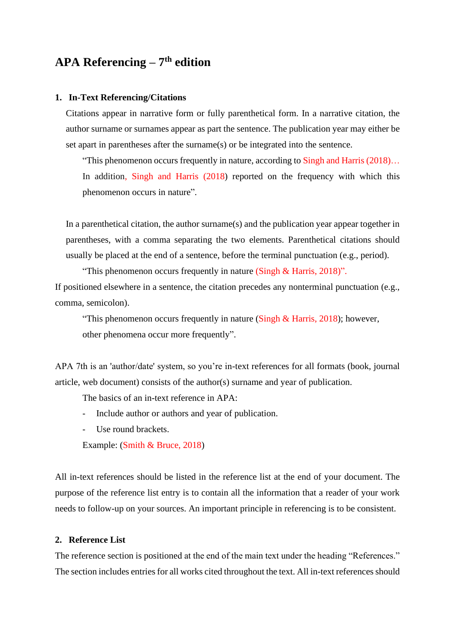# **APA Referencing – 7 th edition**

#### **1. In-Text Referencing/Citations**

Citations appear in narrative form or fully parenthetical form. In a narrative citation, the author surname or surnames appear as part the sentence. The publication year may either be set apart in parentheses after the surname(s) or be integrated into the sentence.

"This phenomenon occurs frequently in nature, according to Singh and Harris (2018)... In addition, Singh and Harris (2018) reported on the frequency with which this phenomenon occurs in nature".

In a parenthetical citation, the author surname(s) and the publication year appear together in parentheses, with a comma separating the two elements. Parenthetical citations should usually be placed at the end of a sentence, before the terminal punctuation (e.g., period).

"This phenomenon occurs frequently in nature (Singh & Harris, 2018)". If positioned elsewhere in a sentence, the citation precedes any nonterminal punctuation (e.g., comma, semicolon).

"This phenomenon occurs frequently in nature (Singh  $\&$  Harris, 2018); however, other phenomena occur more frequently".

APA 7th is an 'author/date' system, so you're in-text references for all formats (book, journal article, web document) consists of the author(s) surname and year of publication.

The basics of an in-text reference in APA:

- Include author or authors and year of publication.
- Use round brackets.

Example: (Smith & Bruce, 2018)

All in-text references should be listed in the reference list at the end of your document. The purpose of the reference list entry is to contain all the information that a reader of your work needs to follow-up on your sources. An important principle in referencing is to be consistent.

### **2. Reference List**

The reference section is positioned at the end of the main text under the heading "References." The section includes entries for all works cited throughout the text. All in-text references should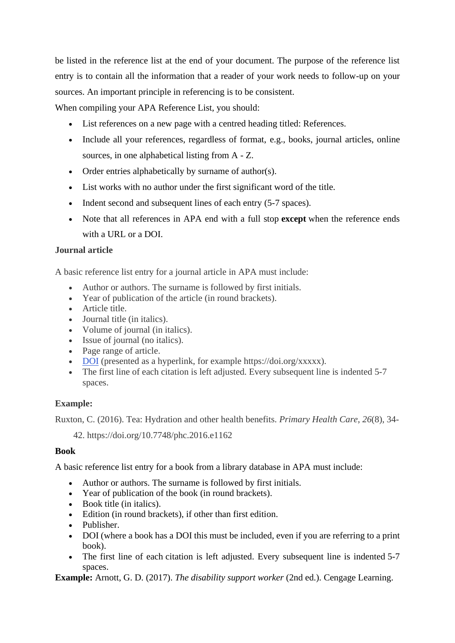be listed in the reference list at the end of your document. The purpose of the reference list entry is to contain all the information that a reader of your work needs to follow-up on your sources. An important principle in referencing is to be consistent.

When compiling your APA Reference List, you should:

- List references on a new page with a centred heading titled: References.
- Include all your references, regardless of format, e.g., books, journal articles, online sources, in one alphabetical listing from A - Z.
- Order entries alphabetically by surname of author(s).
- List works with no author under the first significant word of the title.
- Indent second and subsequent lines of each entry (5-7 spaces).
- Note that all references in APA end with a full stop **except** when the reference ends with a URL or a DOI.

### **Journal article**

A basic reference list entry for a journal article in APA must include:

- Author or authors. The surname is followed by first initials.
- Year of publication of the article (in round brackets).
- Article title.
- Journal title (in italics).
- Volume of journal (in italics).
- Issue of journal (no italics).
- Page range of article.
- [DOI](http://libraryguides.vu.edu.au/apa-referencing/getting-started-in-apa-referencing#s-lg-box-wrapper-9022097) (presented as a hyperlink, for example https://doi.org/xxxxx).
- The first line of each citation is left adjusted. Every subsequent line is indented 5-7 spaces.

## **Example:**

Ruxton, C. (2016). Tea: Hydration and other health benefits. *Primary Health Care*, *26*(8), 34-

42. https://doi.org/10.7748/phc.2016.e1162

## **Book**

A basic reference list entry for a book from a library database in APA must include:

- Author or authors. The surname is followed by first initials.
- Year of publication of the book (in round brackets).
- Book title (in italics).
- Edition (in round brackets), if other than first edition.
- Publisher.
- DOI (where a book has a DOI this must be included, even if you are referring to a print book).
- The first line of each citation is left adjusted. Every subsequent line is indented 5-7 spaces.

**Example:** Arnott, G. D. (2017). *The disability support worker* (2nd ed.). Cengage Learning.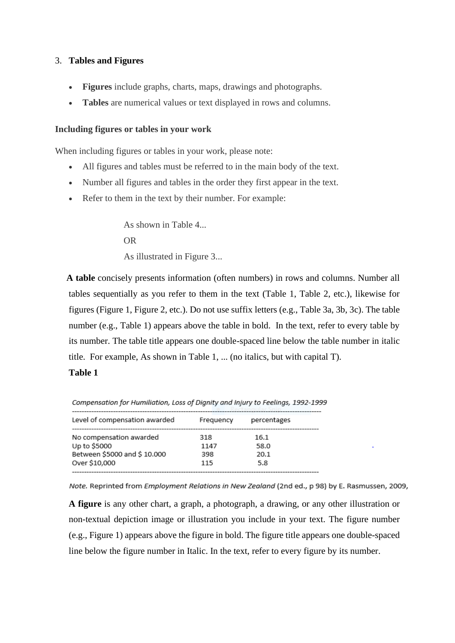### 3. **Tables and Figures**

- **Figures** include graphs, charts, maps, drawings and photographs.
- **Tables** are numerical values or text displayed in rows and columns.

#### **Including figures or tables in your work**

When including figures or tables in your work, please note:

- All figures and tables must be referred to in the main body of the text.
- Number all figures and tables in the order they first appear in the text.
- Refer to them in the text by their number. For example:

As shown in Table 4... OR As illustrated in Figure 3...

 **A table** concisely presents information (often numbers) in rows and columns. Number all tables sequentially as you refer to them in the text (Table 1, Table 2, etc.), likewise for figures (Figure 1, Figure 2, etc.). Do not use suffix letters (e.g., Table 3a, 3b, 3c). The table number (e.g., Table 1) appears above the table in bold. In the text, refer to every table by its number. The table title appears one double-spaced line below the table number in italic title. For example, As shown in Table 1, ... (no italics, but with capital T).

#### **Table 1**

| Level of compensation awarded | Frequency | percentages |
|-------------------------------|-----------|-------------|
| No compensation awarded       | 318       | 16.1        |
| Up to \$5000                  | 1147      | 58.0        |
| Between \$5000 and \$10.000   | 398       | 20.1        |
| Over \$10,000                 | 115       | 5.8         |
|                               |           |             |

Compensation for Humiliation, Loss of Dianity and Injury to Feelinas, 1992-1999

Note. Reprinted from Employment Relations in New Zealand (2nd ed., p 98) by E. Rasmussen, 2009,

**A figure** is any other chart, a graph, a photograph, a drawing, or any other illustration or non-textual depiction image or illustration you include in your text. The figure number (e.g., Figure 1) appears above the figure in bold. The figure title appears one double-spaced line below the figure number in Italic. In the text, refer to every figure by its number.